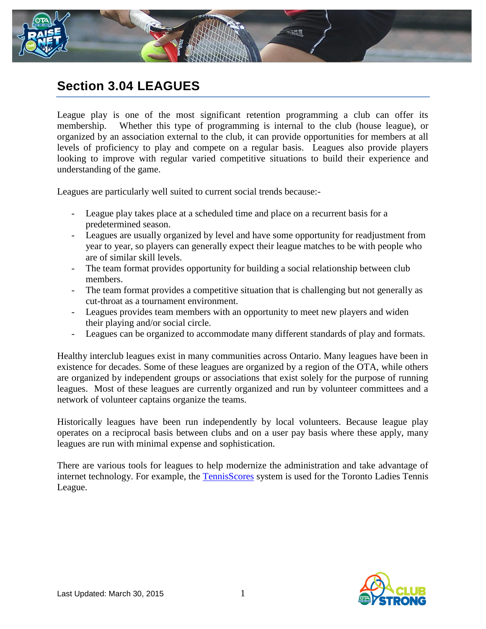

## **Section 3.04 LEAGUES**

League play is one of the most significant retention programming a club can offer its membership. Whether this type of programming is internal to the club (house league), or organized by an association external to the club, it can provide opportunities for members at all levels of proficiency to play and compete on a regular basis. Leagues also provide players looking to improve with regular varied competitive situations to build their experience and understanding of the game.

Leagues are particularly well suited to current social trends because:-

- League play takes place at a scheduled time and place on a recurrent basis for a predetermined season.
- Leagues are usually organized by level and have some opportunity for readjustment from year to year, so players can generally expect their league matches to be with people who are of similar skill levels.
- The team format provides opportunity for building a social relationship between club members.
- The team format provides a competitive situation that is challenging but not generally as cut-throat as a tournament environment.
- Leagues provides team members with an opportunity to meet new players and widen their playing and/or social circle.
- Leagues can be organized to accommodate many different standards of play and formats.

Healthy interclub leagues exist in many communities across Ontario. Many leagues have been in existence for decades. Some of these leagues are organized by a region of the OTA, while others are organized by independent groups or associations that exist solely for the purpose of running leagues. Most of these leagues are currently organized and run by volunteer committees and a network of volunteer captains organize the teams.

Historically leagues have been run independently by local volunteers. Because league play operates on a reciprocal basis between clubs and on a user pay basis where these apply, many leagues are run with minimal expense and sophistication.

There are various tools for leagues to help modernize the administration and take advantage of internet technology. For example, the [TennisScores](http://www.tenniscores.com/newindex.php?newid=1%252FFq5qe6Feo%253D) system is used for the Toronto Ladies Tennis League.